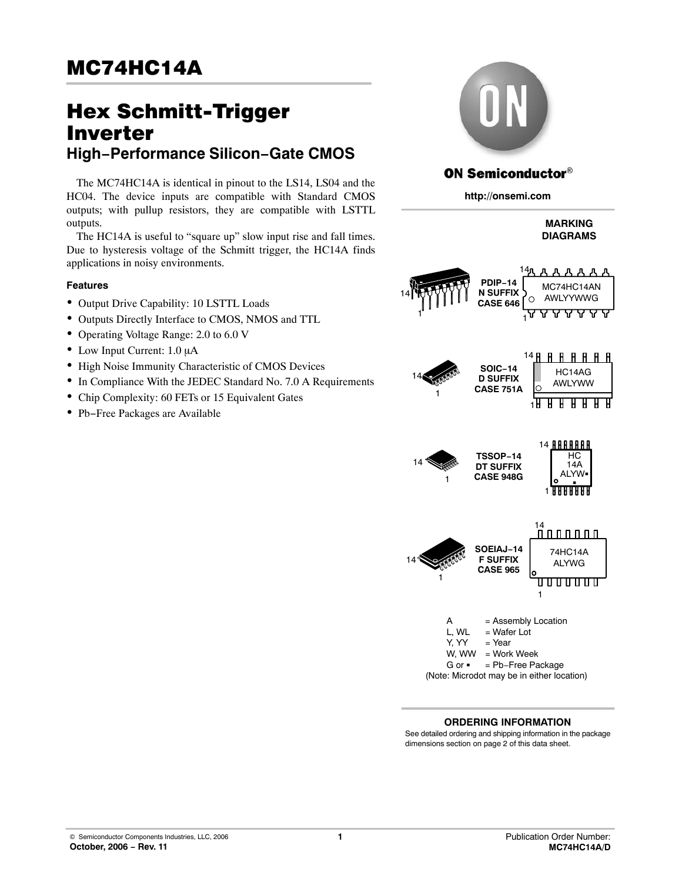# Hex Schmitt−Trigger

Inverter **High−Performance Silicon−Gate CMOS**

The MC74HC14A is identical in pinout to the LS14, LS04 and the HC04. The device inputs are compatible with Standard CMOS outputs; with pullup resistors, they are compatible with LSTTL outputs.

The HC14A is useful to "square up" slow input rise and fall times. Due to hysteresis voltage of the Schmitt trigger, the HC14A finds applications in noisy environments.

#### **Features**

- Output Drive Capability: 10 LSTTL Loads
- Outputs Directly Interface to CMOS, NMOS and TTL
- Operating Voltage Range: 2.0 to 6.0 V
- $\bullet$  Low Input Current: 1.0  $\mu$ A
- High Noise Immunity Characteristic of CMOS Devices
- In Compliance With the JEDEC Standard No. 7.0 A Requirements
- Chip Complexity: 60 FETs or 15 Equivalent Gates
- Pb−Free Packages are Available



# **ON Semiconductor®**

**http://onsemi.com**

#### **MARKING DIAGRAMS**



| <b>SOIC-14</b><br><b>D SUFFIX</b><br><b>CASE 751A</b> |   | H<br>HC14AG<br>AWLYWW | н | - 8   |  |
|-------------------------------------------------------|---|-----------------------|---|-------|--|
|                                                       | н | . н.                  |   | H H . |  |





#### **ORDERING INFORMATION**

See detailed ordering and shipping information in the package dimensions section on page [2 of this data sheet.](#page-1-0)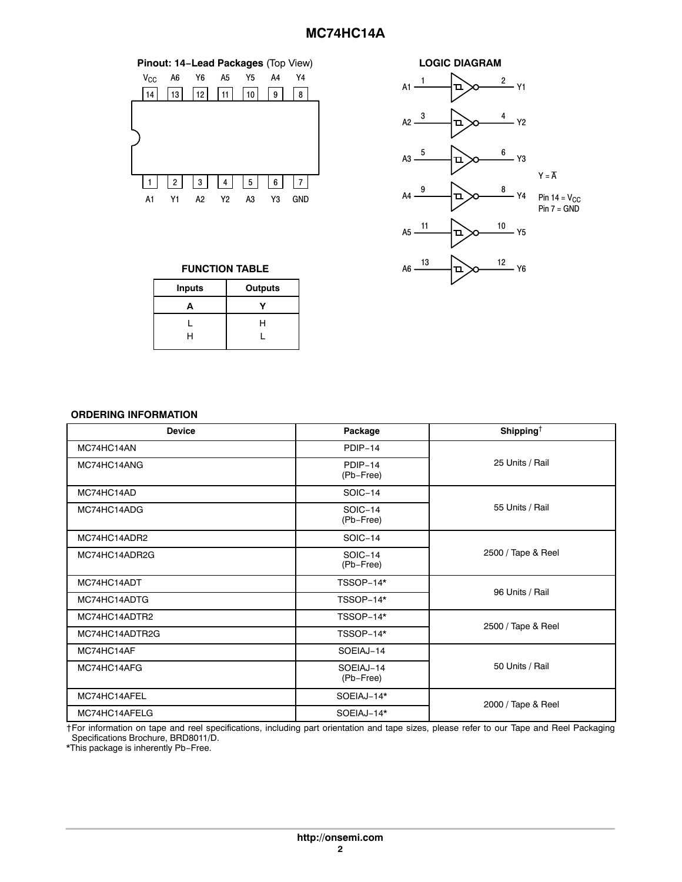<span id="page-1-0"></span>



#### **FUNCTION TABLE**

| Outputs |
|---------|
|         |
| н       |
|         |
|         |

#### **ORDERING INFORMATION**

| <b>Device</b>  | Package                     | Shipping $†$       |  |
|----------------|-----------------------------|--------------------|--|
| MC74HC14AN     | PDIP-14                     |                    |  |
| MC74HC14ANG    | PDIP-14<br>(Pb-Free)        | 25 Units / Rail    |  |
| MC74HC14AD     | <b>SOIC-14</b>              |                    |  |
| MC74HC14ADG    | SOIC-14<br>(Pb-Free)        | 55 Units / Rail    |  |
| MC74HC14ADR2   | <b>SOIC-14</b>              |                    |  |
| MC74HC14ADR2G  | <b>SOIC-14</b><br>(Pb-Free) | 2500 / Tape & Reel |  |
| MC74HC14ADT    | TSSOP-14*                   |                    |  |
| MC74HC14ADTG   | TSSOP-14*                   | 96 Units / Rail    |  |
| MC74HC14ADTR2  | TSSOP-14*                   |                    |  |
| MC74HC14ADTR2G | TSSOP-14*                   | 2500 / Tape & Reel |  |
| MC74HC14AF     | SOEIAJ-14                   |                    |  |
| MC74HC14AFG    | SOEIAJ-14<br>(Pb-Free)      | 50 Units / Rail    |  |
| MC74HC14AFEL   | SOEIAJ-14*                  | 2000 / Tape & Reel |  |
| MC74HC14AFELG  | SOEIAJ-14*                  |                    |  |

†For information on tape and reel specifications, including part orientation and tape sizes, please refer to our Tape and Reel Packaging Specifications Brochure, BRD8011/D.

\*This package is inherently Pb−Free.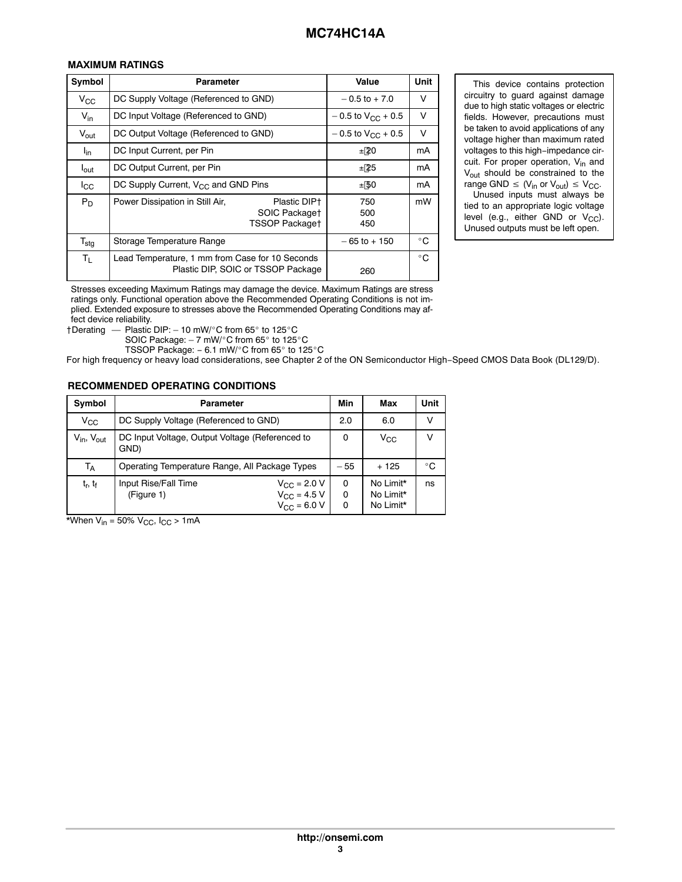| Symbol           | <b>Parameter</b>                                                                          | Value                        | Unit         |
|------------------|-------------------------------------------------------------------------------------------|------------------------------|--------------|
| $V_{\rm CC}$     | DC Supply Voltage (Referenced to GND)                                                     | $-0.5$ to $+7.0$             | V            |
| $V_{in}$         | DC Input Voltage (Referenced to GND)                                                      | $-0.5$ to $V_{\rm CC}$ + 0.5 | V            |
| $V_{\text{out}}$ | DC Output Voltage (Referenced to GND)                                                     | $-0.5$ to $V_{CC}$ + 0.5     | V            |
| <sup>l</sup> in  | DC Input Current, per Pin                                                                 | $\pm$ 20                     | mA           |
| $I_{\text{out}}$ | DC Output Current, per Pin                                                                | $\pm$ 25                     | mA           |
| $_{\rm lcc}$     | DC Supply Current, $V_{CC}$ and GND Pins                                                  | $\pm$ 50                     | mA           |
| $P_D$            | Power Dissipation in Still Air,<br>Plastic DIP+<br>SOIC Packaget<br><b>TSSOP Packaget</b> | 750<br>500<br>450            | mW           |
| $T_{\text{stg}}$ | Storage Temperature Range                                                                 | $-65$ to $+150$              | $^{\circ}$ C |
| Τı.              | Lead Temperature, 1 mm from Case for 10 Seconds<br>Plastic DIP, SOIC or TSSOP Package     | 260                          | $^{\circ}$ C |

Mastic DIP, SOIC or TSSOP Package<br>
Stresses exceeding Maximum Ratings may damage the device. Maximum Ratings are stress In the case of the conduction above the Recommended Operating Conditions is not im-<br>Things only. Functional operation above the Recommended Operating Conditions is not implied. Extended exposure to stresses above the Recommended Operating Conditions may affect device reliability.

†Derating — Plastic DIP: – 10 mW/°C from 65° to 125°C

 $\frac{1}{100}$  Solid Package: – 7 mW/°C from 65° to 125°C

TSSOP Package: – 6.1 mW/°C from 65° to 125°C

For high frequency or heavy load considerations, see Chapter 2 of the ON Semiconductor High−Speed CMOS Data Book (DL129/D).

#### **RECOMMENDED OPERATING CONDITIONS**

| Symbol                          | <b>Parameter</b>                                        |                                                                      | <b>Min</b> | Max                                 | Unit         |
|---------------------------------|---------------------------------------------------------|----------------------------------------------------------------------|------------|-------------------------------------|--------------|
| $V_{\rm CC}$                    | DC Supply Voltage (Referenced to GND)                   |                                                                      | 2.0        | 6.0                                 | $\vee$       |
| $V_{in}$ , $V_{out}$            | DC Input Voltage, Output Voltage (Referenced to<br>GND) |                                                                      | 0          | $V_{\rm CC}$                        | $\vee$       |
| Т <sub>А</sub>                  | Operating Temperature Range, All Package Types          |                                                                      | $-55$      | $+125$                              | $^{\circ}$ C |
| t <sub>r</sub> , t <sub>f</sub> | Input Rise/Fall Time<br>(Figure 1)                      | $V_{\rm CC}$ = 2.0 V<br>$V_{\rm CC}$ = 4.5 V<br>$V_{\rm CC} = 6.0 V$ | $\Omega$   | No Limit*<br>No Limit*<br>No Limit* | ns           |

\*When  $V_{in}$  = 50%  $V_{CC}$ ,  $I_{CC}$  > 1mA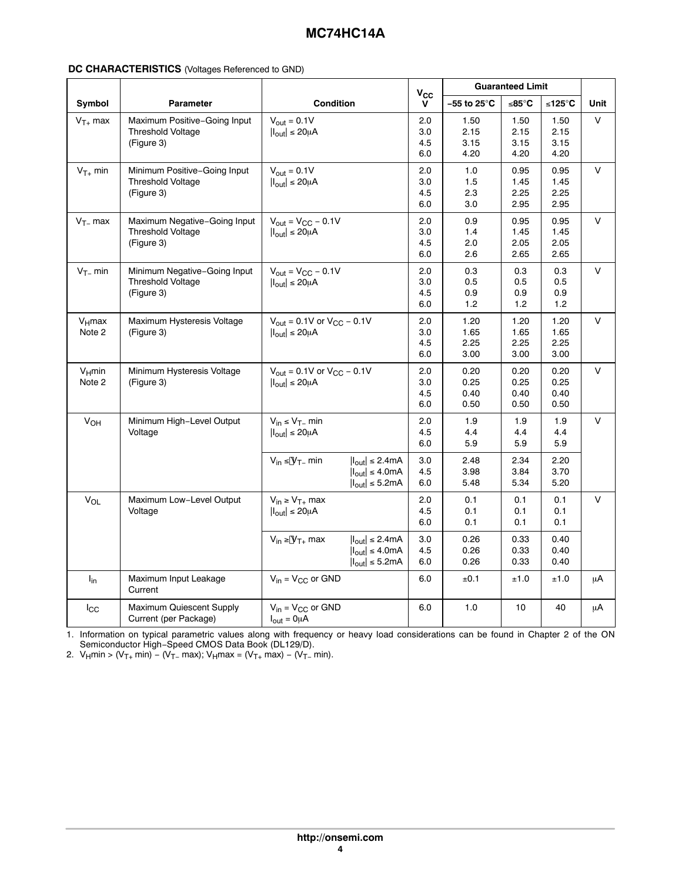#### **DC CHARACTERISTICS** (Voltages Referenced to GND)

|                     |                                                                        |                                                                                       |                                                                                                                         | $V_{CC}$                 | <b>Guaranteed Limit</b>      |                              |                              |             |
|---------------------|------------------------------------------------------------------------|---------------------------------------------------------------------------------------|-------------------------------------------------------------------------------------------------------------------------|--------------------------|------------------------------|------------------------------|------------------------------|-------------|
| Symbol              | <b>Parameter</b>                                                       | <b>Condition</b>                                                                      |                                                                                                                         | v                        | $-55$ to 25 $^{\circ}$ C     | ≤85 $°C$                     | ≤125°C                       | <b>Unit</b> |
| $V_{T+}$ max        | Maximum Positive-Going Input<br><b>Threshold Voltage</b><br>(Figure 3) | $V_{\text{out}} = 0.1V$<br>$ I_{\text{out}}  \leq 20 \mu A$                           |                                                                                                                         | 2.0<br>3.0<br>4.5<br>6.0 | 1.50<br>2.15<br>3.15<br>4.20 | 1.50<br>2.15<br>3.15<br>4.20 | 1.50<br>2.15<br>3.15<br>4.20 | V           |
| $V_{T+}$ min        | Minimum Positive-Going Input<br><b>Threshold Voltage</b><br>(Figure 3) | $V_{\text{out}} = 0.1 V$<br>$ I_{\text{out}}  \leq 20 \mu A$                          |                                                                                                                         | 2.0<br>3.0<br>4.5<br>6.0 | 1.0<br>1.5<br>2.3<br>3.0     | 0.95<br>1.45<br>2.25<br>2.95 | 0.95<br>1.45<br>2.25<br>2.95 | V           |
| $V_{T}$ max         | Maximum Negative-Going Input<br>Threshold Voltage<br>(Figure 3)        | $V_{\text{out}} = V_{\text{CC}} - 0.1V$<br>$ I_{\text{out}}  \leq 20 \mu A$           |                                                                                                                         | 2.0<br>3.0<br>4.5<br>6.0 | 0.9<br>1.4<br>2.0<br>2.6     | 0.95<br>1.45<br>2.05<br>2.65 | 0.95<br>1.45<br>2.05<br>2.65 | $\vee$      |
| $V_{T}$ min         | Minimum Negative-Going Input<br><b>Threshold Voltage</b><br>(Figure 3) | $V_{\text{out}} = V_{\text{CC}} - 0.1V$<br>$ I_{\text{out}}  \leq 20 \mu A$           |                                                                                                                         | 2.0<br>3.0<br>4.5<br>6.0 | 0.3<br>0.5<br>0.9<br>1.2     | 0.3<br>0.5<br>0.9<br>1.2     | 0.3<br>0.5<br>0.9<br>1.2     | V           |
| $V_H$ max<br>Note 2 | Maximum Hysteresis Voltage<br>(Figure 3)                               | $V_{\text{out}} = 0.1V$ or $V_{\text{CC}} - 0.1V$<br>$ I_{\text{out}}  \leq 20 \mu A$ |                                                                                                                         | 2.0<br>3.0<br>4.5<br>6.0 | 1.20<br>1.65<br>2.25<br>3.00 | 1.20<br>1.65<br>2.25<br>3.00 | 1.20<br>1.65<br>2.25<br>3.00 | V           |
| $V_H$ min<br>Note 2 | Minimum Hysteresis Voltage<br>(Figure 3)                               | $V_{\text{out}} = 0.1V$ or $V_{\text{CC}} - 0.1V$<br>$ I_{\text{out}}  \leq 20 \mu A$ |                                                                                                                         | 2.0<br>3.0<br>4.5<br>6.0 | 0.20<br>0.25<br>0.40<br>0.50 | 0.20<br>0.25<br>0.40<br>0.50 | 0.20<br>0.25<br>0.40<br>0.50 | $\vee$      |
| $V_{OH}$            | Minimum High-Level Output<br>Voltage                                   | $V_{in} \leq V_{T}$ min<br>$ I_{\text{out}}  \leq 20 \mu A$                           |                                                                                                                         | 2.0<br>4.5<br>6.0        | 1.9<br>4.4<br>5.9            | 1.9<br>4.4<br>5.9            | 1.9<br>4.4<br>5.9            | V           |
|                     |                                                                        | $V_{in} \leq V_{T}$ min                                                               | $ I_{\text{out}}  \leq 2.4 \text{mA}$<br>$ I_{\text{out}}  \leq 4.0 \text{mA}$<br>$ I_{\text{out}}  \leq 5.2 \text{mA}$ | 3.0<br>4.5<br>6.0        | 2.48<br>3.98<br>5.48         | 2.34<br>3.84<br>5.34         | 2.20<br>3.70<br>5.20         |             |
| V <sub>OL</sub>     | Maximum Low-Level Output<br>Voltage                                    | $V_{in} \geq V_{T+}$ max<br>$ I_{\text{out}}  \leq 20 \mu A$                          |                                                                                                                         | 2.0<br>4.5<br>6.0        | 0.1<br>0.1<br>0.1            | 0.1<br>0.1<br>0.1            | 0.1<br>0.1<br>0.1            | V           |
|                     |                                                                        | $V_{in} \geq V_{T+}$ max                                                              | $ I_{\text{out}}  \leq 2.4 \text{mA}$<br>$ I_{\text{out}}  \leq 4.0 \text{mA}$<br>$ I_{\text{out}}  \leq 5.2 \text{mA}$ | 3.0<br>4.5<br>6.0        | 0.26<br>0.26<br>0.26         | 0.33<br>0.33<br>0.33         | 0.40<br>0.40<br>0.40         |             |
| $I_{in}$            | Maximum Input Leakage<br>Current                                       | $V_{in} = V_{CC}$ or GND                                                              |                                                                                                                         | 6.0                      | ±0.1                         | ±1.0                         | ±1.0                         | μA          |
| $I_{\rm CC}$        | Maximum Quiescent Supply<br>Current (per Package)                      | $V_{in} = V_{CC}$ or GND<br>$I_{\text{out}} = 0 \mu A$                                |                                                                                                                         | 6.0                      | 1.0                          | 10                           | 40                           | μA          |

1. Information on typical parametric values along with frequency or heavy load considerations can be found in Chapter 2 of the ON Semiconductor High−Speed CMOS Data Book (DL129/D).

2. V<sub>H</sub>min > (V<sub>T+</sub> min) − (V<sub>T−</sub> max); V<sub>H</sub>max = (V<sub>T+</sub> max) − (V<sub>T−</sub> min).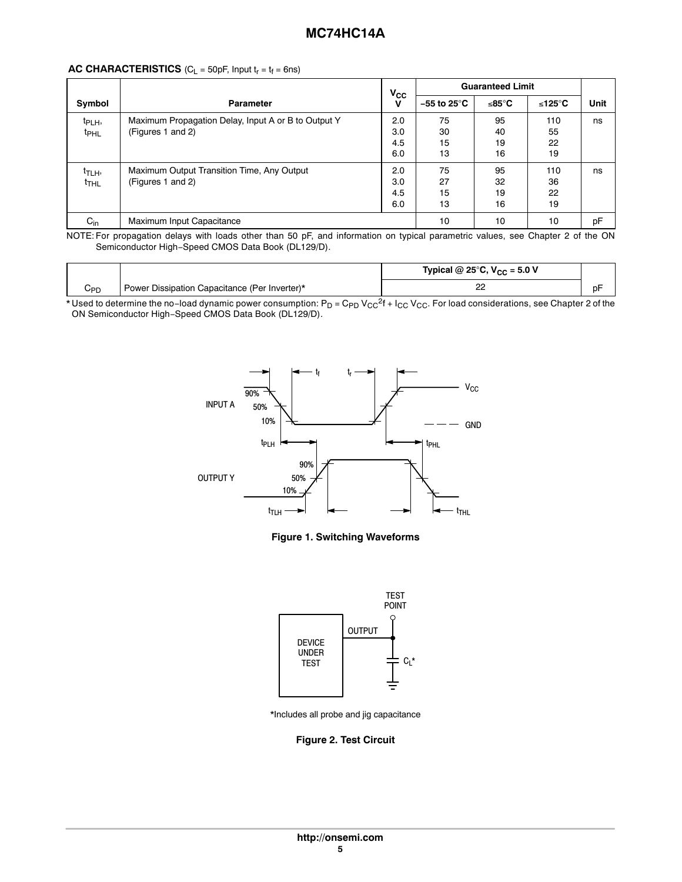#### **AC CHARACTERISTICS** ( $C_L$  = 50pF, Input  $t_r$  =  $t_f$  = 6ns)

|                                        |                                                                          | $V_{CC}$                 |                        | <b>Guaranteed Limit</b> |                       |      |  |
|----------------------------------------|--------------------------------------------------------------------------|--------------------------|------------------------|-------------------------|-----------------------|------|--|
| Symbol                                 | <b>Parameter</b>                                                         | $\mathbf v$              | –55 to 25 $^{\circ}$ C | ≤85°C                   | ≤125°C                | Unit |  |
| t <sub>PLH</sub> ,<br><sup>t</sup> PHL | Maximum Propagation Delay, Input A or B to Output Y<br>(Figures 1 and 2) | 2.0<br>3.0<br>4.5<br>6.0 | 75<br>30<br>15<br>13   | 95<br>40<br>19<br>16    | 110<br>55<br>22<br>19 | ns   |  |
| t <sub>TLH</sub> ,<br>$t_{\sf THL}$    | Maximum Output Transition Time, Any Output<br>(Figures 1 and 2)          | 2.0<br>3.0<br>4.5<br>6.0 | 75<br>27<br>15<br>13   | 95<br>32<br>19<br>16    | 110<br>36<br>22<br>19 | ns   |  |
| $C_{in}$                               | Maximum Input Capacitance                                                |                          | 10                     | 10                      | 10                    | pF   |  |

NOTE: For propagation delays with loads other than 50 pF, and information on typical parametric values, see Chapter 2 of the ON Semiconductor High−Speed CMOS Data Book (DL129/D).

|     |                                               | Typical @ 25°C, $V_{CC}$ = 5.0 V |  |
|-----|-----------------------------------------------|----------------------------------|--|
| חס∪ | Power Dissipation Capacitance (Per Inverter)* | --                               |  |

\* Used to determine the no−load dynamic power consumption: P<sub>D</sub> = C<sub>PD</sub> V<sub>CC</sub><sup>2</sup>f + I<sub>CC</sub> V<sub>CC</sub>. For load considerations, see Chapter 2 of the ON Semiconductor High−Speed CMOS Data Book (DL129/D).



**Figure 1. Switching Waveforms**



\*Includes all probe and jig capacitance

**Figure 2. Test Circuit**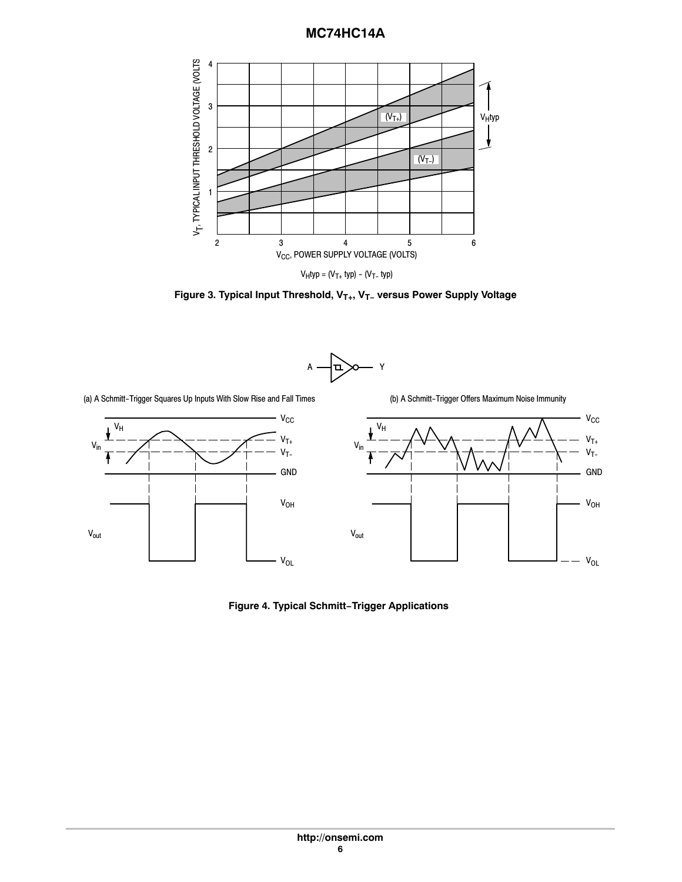

**Figure 3. Typical Input Threshold, VT+, VT− versus Power Supply Voltage**

 $A \longrightarrow I$ 



**Figure 4. Typical Schmitt−Trigger Applications**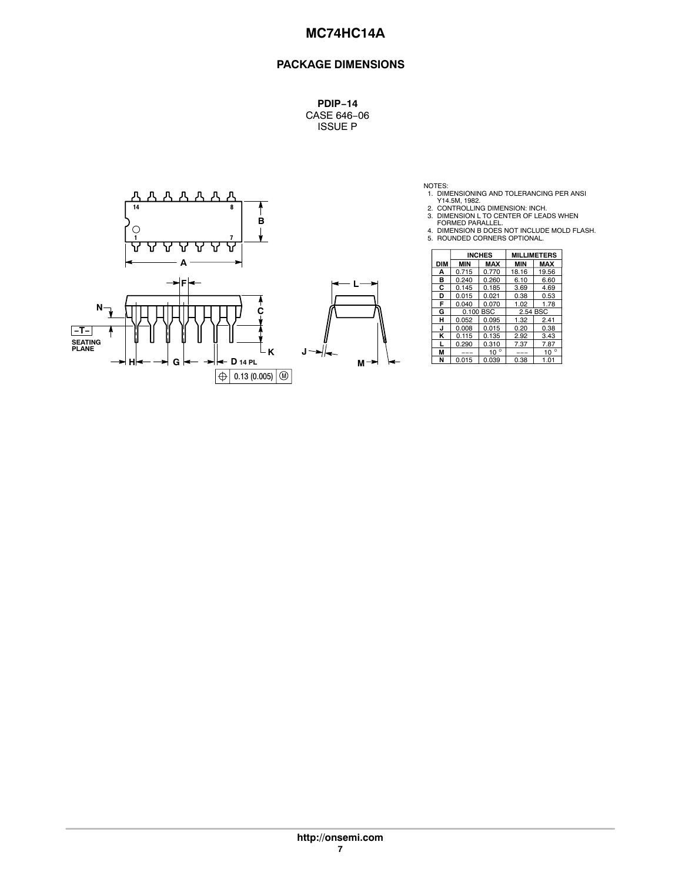## **PACKAGE DIMENSIONS**

**PDIP−14** CASE 646−06 ISSUE P



- 
- 
- NOTES:<br>
1. DIMENSIONING AND TOLERANCING PER ANSI<br>
2. CONTROLLING DIMENSION: INCH.<br>
3. DIMENSION L TO CENTER OF LEADS WHEN<br>
4. DIMENSION B DOES NOT INCLUDE MOLD FLASH.<br>
4. DIMENSION B DOES NOT INCLUDE MOLD FLASH.<br>
5. ROUNDE

|            |       | INCHES        |          | <b>MILLIMETERS</b> |  |
|------------|-------|---------------|----------|--------------------|--|
| <b>DIM</b> | MIN   | MAX           | MIN      | <b>MAX</b>         |  |
| А          | 0.715 | 0.770         | 18.16    | 19.56              |  |
| в          | 0.240 | 0.260         | 6.10     | 6.60               |  |
| С          | 0.145 | 0.185         | 3.69     | 4.69               |  |
| D          | 0.015 | 0.021         | 0.38     | 0.53               |  |
| F          | 0.040 | 0.070         | 1.02     | 1.78               |  |
| G          |       | 0.100 BSC     | 2.54 BSC |                    |  |
| н          | 0.052 | 0.095         | 1.32     | 2.41               |  |
| J          | 0.008 | 0.015         | 0.20     | 0.38               |  |
| κ          | 0.115 | 0.135         | 2.92     | 3.43               |  |
|            | 0.290 | 0.310         | 7.37     | 7.87               |  |
| М          |       | $\circ$<br>10 |          | $\circ$<br>10      |  |
| N          | 0.015 | 0.039         | 0.38     | 1.01               |  |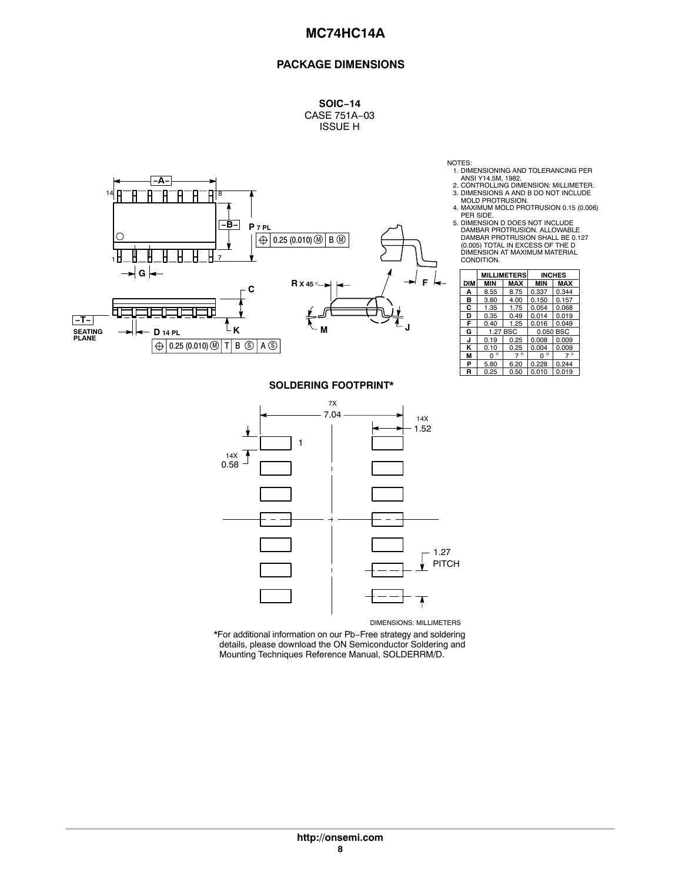### **PACKAGE DIMENSIONS**

**SOIC−14** CASE 751A−03 ISSUE H



- 
- NOTES:<br>
1. DIMENSIONING AND TOLERANCING PER<br>
2. CONTROLLING DIMENSION: MILLIMETER.<br>
3. DIMENSIONS A AND B DO NOT INCLUDE<br>
MOLD PROTRUSION.<br>
4. MAXIMUM MOLD PROTRUSION 0.15 (0.006)<br>
PER SIDE.
- 
- 5. DIMENSION D DOES NOT INCLUDE DAMBAR PROTRUSION. ALLOWABLE DAMBAR PROTRUSION SHALL BE 0.127 (0.005) TOTAL IN EXCESS OF THE D DIMENSION AT MAXIMUM MATERIAL CONDITION.

|            |              | <b>MILLIMETERS</b> |              | <b>INCHES</b> |  |  |  |  |
|------------|--------------|--------------------|--------------|---------------|--|--|--|--|
| <b>DIM</b> | MIN          | <b>MAX</b>         |              | <b>MAX</b>    |  |  |  |  |
| А          | 8.55         | 8.75               | 0.337        | 0.344         |  |  |  |  |
| в          | 3.80         | 4.00               | 0.150        | 0.157         |  |  |  |  |
| С          | 1.35         | 1.75               | 0.054        | 0.068         |  |  |  |  |
| D          | 0.35         | 0.49               | 0.014        | 0.019         |  |  |  |  |
| F          | 0.40         | 1.25               | 0.016        | 0.049         |  |  |  |  |
| G          |              | 1.27 BSC           | 0.050 BSC    |               |  |  |  |  |
| J          | 0.19         | 0.25               | 0.008        | 0.009         |  |  |  |  |
| κ          | 0.10         | 0.25               | 0.004        | 0.009         |  |  |  |  |
| М          | $\circ$<br>O | $7^\circ$          | $\circ$<br>O | $7^\circ$     |  |  |  |  |
| Р          | 5.80         | 6.20               | 0.228        | 0.244         |  |  |  |  |
| R          | 0.25         | 0.50               | 0.010        | 0.019         |  |  |  |  |

#### **SOLDERING FOOTPRINT\***



DIMENSIONS: MILLIMETERS

\*For additional information on our Pb−Free strategy and soldering details, please download the ON Semiconductor Soldering and Mounting Techniques Reference Manual, SOLDERRM/D.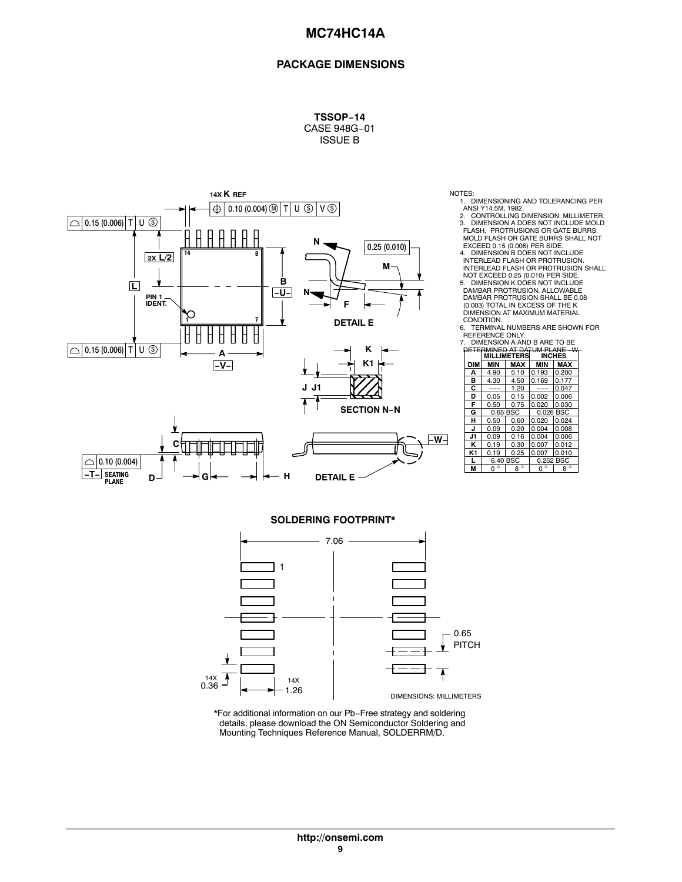#### **PACKAGE DIMENSIONS**

**TSSOP−14** CASE 948G−01 ISSUE B



NOTES:<br>1. DIMENSIONING AND TOLERANCING PER<br>2. CONTROLLING DIMENSION: MILLIMETER.<br>2. CONTROLLING DIMENSION: MILLIMETER.<br>3. DIMENSION A DOES NOT INCLUDE MOLD<br>FLASH, PROTRUSIONS OR GATE BURRS.<br>MOLD FLASH OR GATE BURRS SHALL N

NOT EXCEED 0.25 (0.010) PER SIDE. 5. DIMENSION K DOES NOT INCLUDE DAMBAR PROTRUSION. ALLOWABLE DAMBAR PROTRUSION SHALL BE 0.08 (0.003) TOTAL IN EXCESS OF THE K DIMENSION AT MAXIMUM MATERIAL

CONDITION. 6. TERMINAL NUMBERS ARE SHOWN FOR REFERENCE ONLY.

| DIMENSION A AND B ARE TO BE |            |             |                    |             |                                                 |  |
|-----------------------------|------------|-------------|--------------------|-------------|-------------------------------------------------|--|
| Κ                           |            |             | <b>MILLIMETERS</b> |             | DETERMINED AT DATUM PLANE -W-.<br><b>INCHES</b> |  |
| K1                          | <b>DIM</b> | MIN         | <b>MAX</b>         | <b>MIN</b>  | <b>MAX</b>                                      |  |
|                             | А          | 4.90        | 5.10               | 0.193       | 0.200                                           |  |
|                             | в          | 4.30        | 4.50               | 0.169       | 0.177                                           |  |
|                             | С          | ---         | 1.20               | ---         | 0.047                                           |  |
|                             | D          | 0.05        | 0.15               | 0.002       | 0.006                                           |  |
|                             | F          | 0.50        | 0.75               | 0.020       | 0.030                                           |  |
| <b>SECTION N-N</b>          | G          | 0.65 BSC    |                    | 0.026 BSC   |                                                 |  |
|                             | н          | 0.50        | 0.60               | 0.020       | 0.024                                           |  |
|                             | J          | 0.09        | 0.20               | 0.004       | 0.008                                           |  |
| -w-l                        | J1         | 0.09        | 0.16               | 0.004       | 0.006                                           |  |
|                             | κ          | 0.19        | 0.30               | 0.007       | 0.012                                           |  |
|                             | K1         | 0.19        | 0.25               | 0.007       | 0.010                                           |  |
|                             |            | 6.40 BSC    |                    | 0.252 BSC   |                                                 |  |
|                             | M          | $0^{\circ}$ | $8^{\circ}$        | $0^{\circ}$ | $8^{\circ}$                                     |  |

#### **SOLDERING FOOTPRINT\***



\*For additional information on our Pb−Free strategy and soldering details, please download the ON Semiconductor Soldering and Mounting Techniques Reference Manual, SOLDERRM/D.